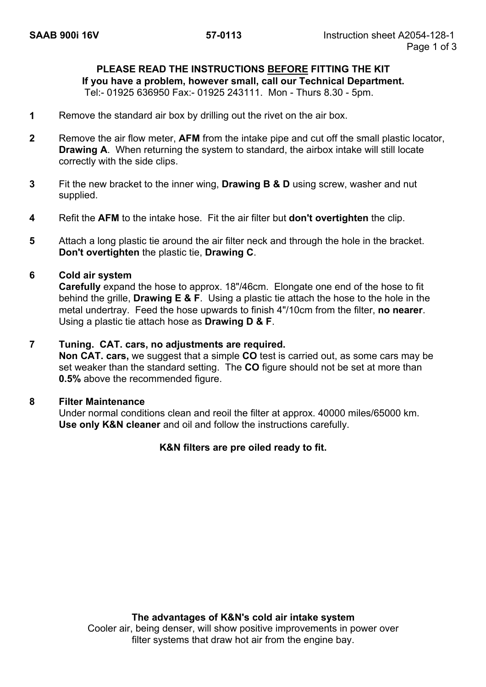# **PLEASE READ THE INSTRUCTIONS BEFORE FITTING THE KIT**

**If you have a problem, however small, call our Technical Department.** 

Tel:- 01925 636950 Fax:- 01925 243111. Mon - Thurs 8.30 - 5pm.

- **1** Remove the standard air box by drilling out the rivet on the air box.
- **2** Remove the air flow meter, **AFM** from the intake pipe and cut off the small plastic locator, **Drawing A.** When returning the system to standard, the airbox intake will still locate correctly with the side clips.
- **3** Fit the new bracket to the inner wing, **Drawing B & D** using screw, washer and nut supplied.
- **4** Refit the **AFM** to the intake hose. Fit the air filter but **don't overtighten** the clip.
- **5** Attach a long plastic tie around the air filter neck and through the hole in the bracket. **Don't overtighten** the plastic tie, **Drawing C**.

#### **6 Cold air system**

**Carefully** expand the hose to approx. 18"/46cm. Elongate one end of the hose to fit behind the grille, **Drawing E & F**. Using a plastic tie attach the hose to the hole in the metal undertray. Feed the hose upwards to finish 4"/10cm from the filter, **no nearer**. Using a plastic tie attach hose as **Drawing D & F**.

#### **7 Tuning. CAT. cars, no adjustments are required.**

**Non CAT. cars,** we suggest that a simple **CO** test is carried out, as some cars may be set weaker than the standard setting. The **CO** figure should not be set at more than **0.5%** above the recommended figure.

#### **8 Filter Maintenance**

Under normal conditions clean and reoil the filter at approx. 40000 miles/65000 km. **Use only K&N cleaner** and oil and follow the instructions carefully.

#### **K&N filters are pre oiled ready to fit.**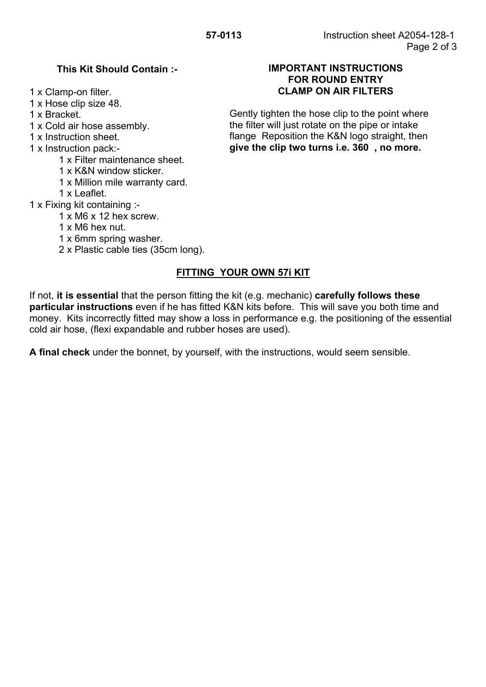1 x Hose clip size 48.

- - 1 x Filter maintenance sheet.
	- 1 x K&N window sticker.
	- 1 x Million mile warranty card.
	- 1 x Leaflet.
- 1 x Fixing kit containing :-
	- 1 x M6 x 12 hex screw.
	- 1 x M6 hex nut.
	- 1 x 6mm spring washer.
	- 2 x Plastic cable ties (35cm long).

## **FITTING YOUR OWN 57i KIT**

If not, **it is essential** that the person fitting the kit (e.g. mechanic) **carefully follows these particular instructions** even if he has fitted K&N kits before. This will save you both time and money. Kits incorrectly fitted may show a loss in performance e.g. the positioning of the essential cold air hose, (flexi expandable and rubber hoses are used).

**A final check** under the bonnet, by yourself, with the instructions, would seem sensible.

### **This Kit Should Contain :- IMPORTANT INSTRUCTIONS FOR ROUND ENTRY**  1 x Clamp-on filter. **CLAMP ON AIR FILTERS**

1 x Bracket. 1 x Cold air hose assembly. the filter will just rotate on the pipe or intake 1 x Instruction sheet. The state of the flange Reposition the K&N logo straight, then 1 x Instruction pack:- **give the clip two turns i.e. 360 , no more.**